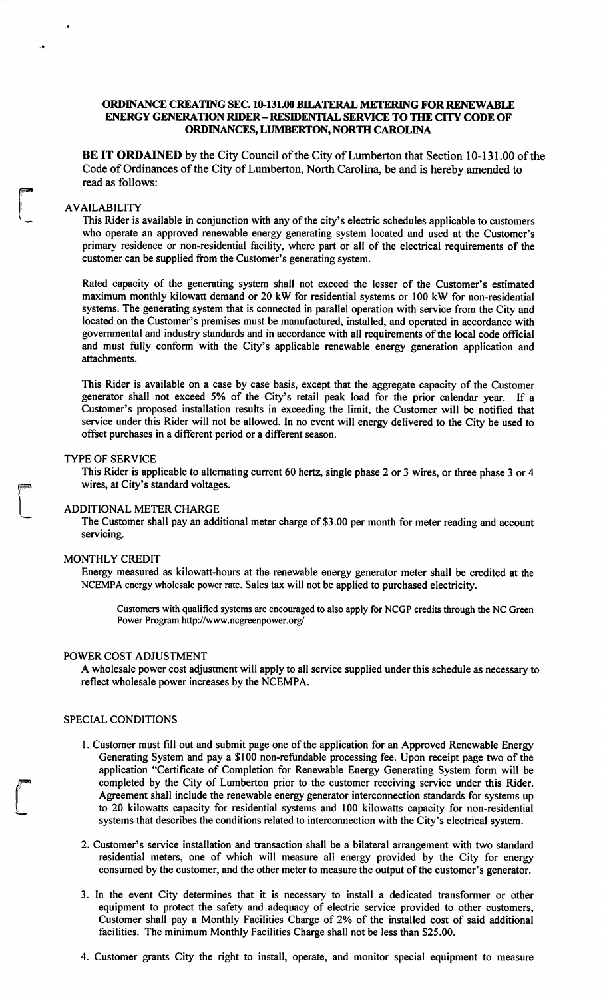# ORDINANCE CREATING SEC. 10-131.00 BILATERAL METERING FOR RENEWABLE **ENERGY GENERATION RIDER - RESIDENTIAL SERVICE TO THE CITY CODE OF** ORDINANCES, LUMBERTON, NORTH CAROLINA

BE IT ORDAINED by the City Council of the City of Lumberton that Section 10-131.00 of the Code of Ordinances of the City of Lumberton, North Carolina, be and is hereby amended to read as follows:

# **AVAILABILITY**

This Rider is available in conjunction with any of the city's electric schedules applicable to customers who operate an approved renewable energy generating system located and used at the Customer's primary residence or non-residential facility, where part or all of the electrical requirements of the customer can be supplied from the Customer's generating system.

Rated capacity of the generating system shall not exceed the lesser of the Customer's estimated maximum monthly kilowatt demand or 20 kW for residential systems or 100 kW for non-residential systems. The generating system that is connected in parallel operation with service from the City and located on the Customer's premises must be manufactured, installed, and operated in accordance with governmental and industry standards and in accordance with all requirements of the local code official and must fully conform with the City's applicable renewable energy generation application and attachments.

This Rider is available on a case by case basis, except that the aggregate capacity of the Customer generator shall not exceed 5% of the City's retail peak load for the prior calendar year. If a Customer's proposed installation results in exceeding the limit, the Customer will be notified that service under this Rider will not be allowed. In no event will energy delivered to the City be used to offset purchases in a different period or a different season.

#### **TYPE OF SERVICE**

This Rider is applicable to alternating current 60 hertz, single phase 2 or 3 wires, or three phase 3 or 4 wires, at City's standard voltages.

#### **ADDITIONAL METER CHARGE**

The Customer shall pay an additional meter charge of \$3.00 per month for meter reading and account servicing.

#### MONTHLY CREDIT

Energy measured as kilowatt-hours at the renewable energy generator meter shall be credited at the NCEMPA energy wholesale power rate. Sales tax will not be applied to purchased electricity.

Customers with qualified systems are encouraged to also apply for NCGP credits through the NC Green Power Program http://www.ncgreenpower.org/

## POWER COST ADJUSTMENT

A wholesale power cost adjustment will apply to all service supplied under this schedule as necessary to reflect wholesale power increases by the NCEMPA.

## SPECIAL CONDITIONS

- 1. Customer must fill out and submit page one of the application for an Approved Renewable Energy Generating System and pay a \$100 non-refundable processing fee. Upon receipt page two of the application "Certificate of Completion for Renewable Energy Generating System form will be completed by the City of Lumberton prior to the customer receiving service under this Rider. Agreement shall include the renewable energy generator interconnection standards for systems up to 20 kilowatts capacity for residential systems and 100 kilowatts capacity for non-residential systems that describes the conditions related to interconnection with the City's electrical system.
- 2. Customer's service installation and transaction shall be a bilateral arrangement with two standard residential meters, one of which will measure all energy provided by the City for energy consumed by the customer, and the other meter to measure the output of the customer's generator.
- 3. In the event City determines that it is necessary to install a dedicated transformer or other equipment to protect the safety and adequacy of electric service provided to other customers, Customer shall pay a Monthly Facilities Charge of 2% of the installed cost of said additional facilities. The minimum Monthly Facilities Charge shall not be less than \$25.00.
- 4. Customer grants City the right to install, operate, and monitor special equipment to measure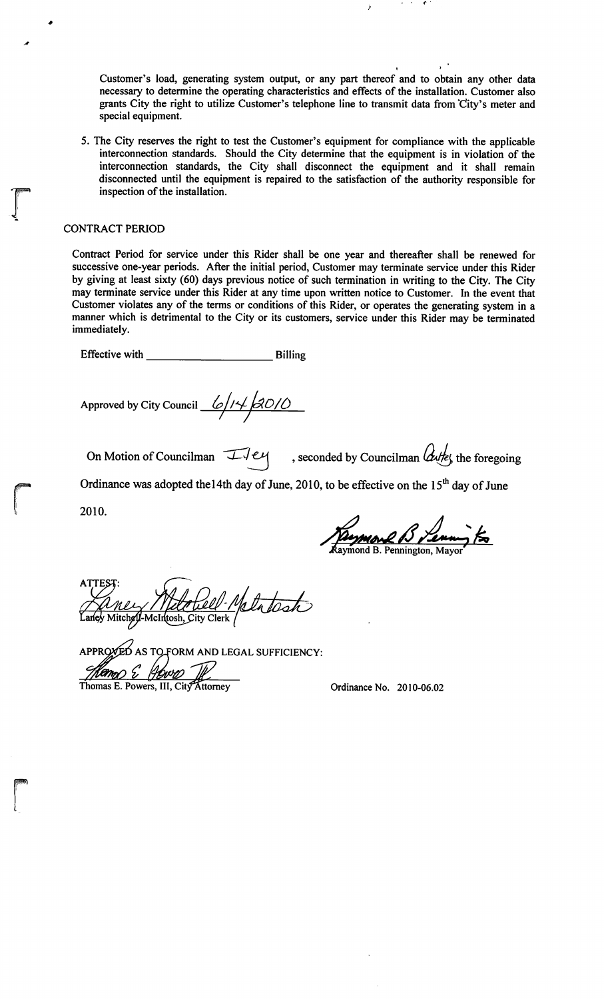Customer's load, generating system output, or any part thereof and to obtain any other data necessary to determine the operating characteristics and effects of the installation. Customer also grants City the right to utilize Customer's telephone line to transmit data from City's meter and special equipment.

5. The City reserves the right to test the Customer's equipment for compliance with the applicable interconnection standards. Should the City determine that the equipment is in violation of the interconnection standards, the City shall disconnect the equipment and it shall remain disconnected until the equipment is repaired to the satisfaction of the authority responsible for inspection of the installation.

# **CONTRACT PERIOD**

Contract Period for service under this Rider shall be one year and thereafter shall be renewed for successive one-year periods. After the initial period, Customer may terminate service under this Rider by giving at least sixty (60) days previous notice of such termination in writing to the City. The City may terminate service under this Rider at any time upon written notice to Customer. In the event that Customer violates any of the terms or conditions of this Rider, or operates the generating system in a manner which is detrimental to the City or its customers, service under this Rider may be terminated immediately.

Approved by City Council  $\frac{6}{14}$  2010

On Motion of Councilman  $\pm \sqrt{e\mu}$ , seconded by Councilman  $\omega t$  the foregoing

Ordinance was adopted the 14th day of June, 2010, to be effective on the 15<sup>th</sup> day of June

2010.

more B Leaving to

Mey Metchell-Metatesh

APPROVED AS TO FORM AND LEGAL SUFFICIENCY:<br>
Thomas E. Powers, III, City Attorney

Ordinance No. 2010-06.02